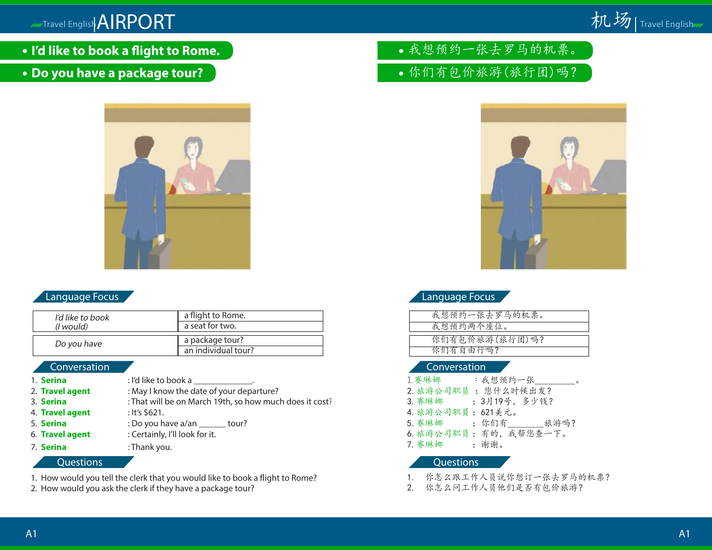# /////Travel English<mark>AIRPORT</mark> to the control of the control of the control of the control of the control of the control of the control of the control of the control of the control of the control of the control of the contr



- **I'd like to book a flight to Rome.**
- **Do you have a package tour?**



# Language Focus

| I'd like to book<br>(I would) | a flight to Rome.   |
|-------------------------------|---------------------|
|                               | a seat for two.     |
| Do you have                   | a package tour?     |
|                               | an individual tour? |

#### Conversation

1. **Serina** : I'd like to book a 2. **Travel agent** : May I know the date of your departure? 3. **Serina** : That will be on March 19th, so how much does it cost? 4. **Travel agent** : It's \$621. 5. **Serina** : Do you have a/an \_\_\_\_\_\_ tour? 6. **Travel agent** : Certainly, I'll look for it. 7. **Serina** : Thank you.

#### **Questions**

- 1. How would you tell the clerk that you would like to book a flight to Rome?
- 2. How would you ask the clerk if they have a package tour?

我想预约一张去罗马的机票。

你们有包价旅游(旅行团)吗?



Language Focus

| 我想预约一张去罗马的机票。  |  |
|----------------|--|
| 我想预约两个座位。      |  |
|                |  |
| 你们有包价旅游(旅行团)吗? |  |
| 你们有自由行吗?       |  |
|                |  |

#### Conversation

| 1. 赛琳娜            | :我想预约一张<br>$\circ$     |
|-------------------|------------------------|
|                   | 2. 旅游公司职员:您什么时候出发?     |
| 3. 赛琳娜            | : 3月19号, 多少钱?          |
| 4. 旅游公司职員: 621美元。 |                        |
| 5. 赛琳娜 : 你们有      | 旅游吗?                   |
|                   | 6. 旅游公司职员: 有的, 我帮您查一下。 |
| 7. 赛琳娜            | : 谢谢。                  |

- 1. 你怎么跟工作人员说你想订一张去罗马的机票?
- 2. 你怎么问工作人员他们是否有包价旅游?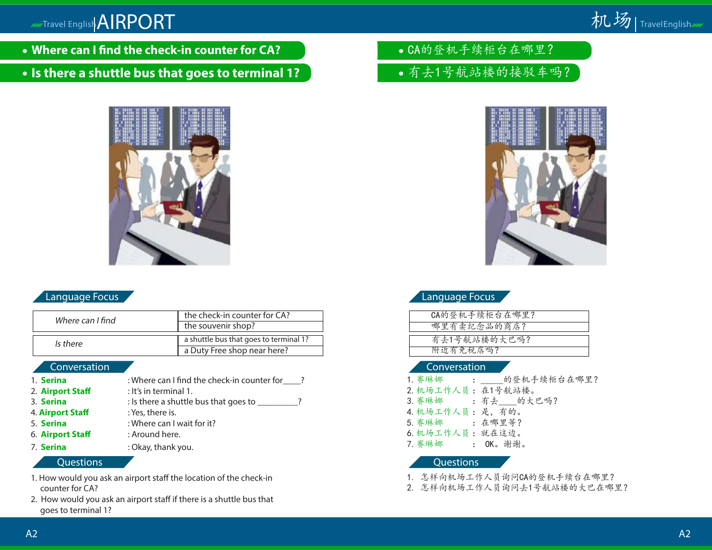

- **Where can I find the check-in counter for CA?**
- **Is there a shuttle bus that goes to terminal 1?**



# Language Focus

| Where can I find | the check-in counter for CA?           |
|------------------|----------------------------------------|
|                  | the souvenir shop?                     |
| Is there         | a shuttle bus that goes to terminal 1? |
|                  | a Duty Free shop near here?            |

#### Conversation

- 1. **Serina** : Where can I find the check-in counter for \_\_\_\_?
- 2. **Airport Staff** : It's in terminal 1.
- 3. **Serina** : Is there a shuttle bus that goes to \_\_\_\_\_\_\_\_\_?
- 4. **Airport Staff** : Yes, there is.
- 5. **Serina** : Where can I wait for it?
- 6. **Airport Staff** : Around here.
- 7. **Serina** : Okay, thank you.

#### Questions

- 1. How would you ask an airport staff the location of the check-in counter for CA?
- 2. How would you ask an airport staff if there is a shuttle bus that goes to terminal 1?

CA的登机手续柜台在哪里?

有去1号航站楼的接驳车吗?



# Language Focus

| CA的登机手续柜台在哪里? |  |
|---------------|--|
| 哪里有卖纪念品的商店?   |  |
| 有去1号航站楼的大巴吗?  |  |
| 附近有免税店吗?      |  |
|               |  |

#### Conversation

|                    | 1. 赛琳娜 : 的登机手续柜台在哪里? |
|--------------------|----------------------|
| 2. 机场工作人员: 在1号航站楼。 |                      |
|                    | 3. 赛琳娜 : 有去 的大巴吗?    |
| 4. 机场工作人员:是,有的。    |                      |
| 5. 赛琳娜 : 在哪里等?     |                      |
| 6. 机场工作人员: 就在这边。   |                      |
| 7. 赛琳娜 : OK。谢谢。    |                      |

- 1. 怎样向机场工作人员询问CA的登机手续台在哪里?
- 2. 怎样向机场工作人员询问去1号航站楼的大巴在哪里?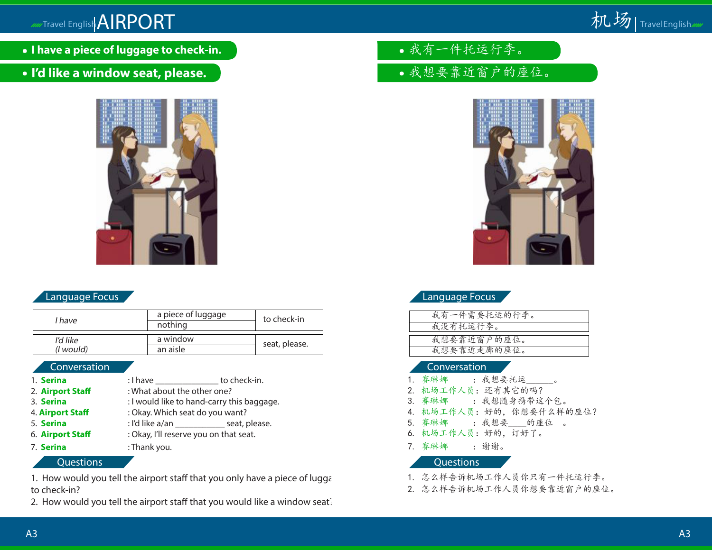

- **I have a piece of luggage to check-in.**
- **I'd like a window seat, please.**



# Language Focus **Language Focus**

| l have                | a piece of luggage<br>nothing | to check-in   |
|-----------------------|-------------------------------|---------------|
| I'd like<br>(I would) | a window<br>an aisle          | seat, please. |

| 1. Serina        |                                        | : I have to check-in.                         |  |  |
|------------------|----------------------------------------|-----------------------------------------------|--|--|
| 2. Airport Staff | : What about the other one?            |                                               |  |  |
| 3. Serina        |                                        | : I would like to hand-carry this baggage.    |  |  |
| 4. Airport Staff | : Okay. Which seat do you want?        |                                               |  |  |
| 5. Serina        |                                        | : I'd like a/an _______________ seat, please. |  |  |
| 6. Airport Staff | : Okay, I'll reserve you on that seat. |                                               |  |  |
| 7. Serina        | : Thank you.                           |                                               |  |  |

### Questions Questions

1. How would you tell the airport staff that you only have a piece of lugga to check-in?

2. How would you tell the airport staff that you would like a window seat.

- 我有一件托运行李。
- 我想要靠近窗户的座位。



| 我有一件需要托运的行李。 |
|--------------|
| 我没有托运行李。     |
|              |
| 我想要靠近窗户的座位。  |
| 我想要靠近走廊的座位。  |
|              |

### Conversation Conversation Conversation

|                  | 1. 赛琳娜 _______________________。 |
|------------------|---------------------------------|
|                  | 2. 机场工作人员: 还有其它的吗?              |
|                  | 3. 赛琳娜 : 我想随身携带这个包。             |
|                  | 4. 机场工作人员:好的,你想要什么样的座位?         |
|                  | 5. 赛琳娜 : 我想要 的座位 。              |
|                  | 6. 机场工作人员:好的,订好了。               |
| 7. 赛琳娜 : 谢谢。     |                                 |
| <b>Cuestions</b> |                                 |

- 1. 怎么样告诉机场工作人员你只有一件托运行李。
- 2. 怎么样告诉机场工作人员你想要靠近窗户的座位。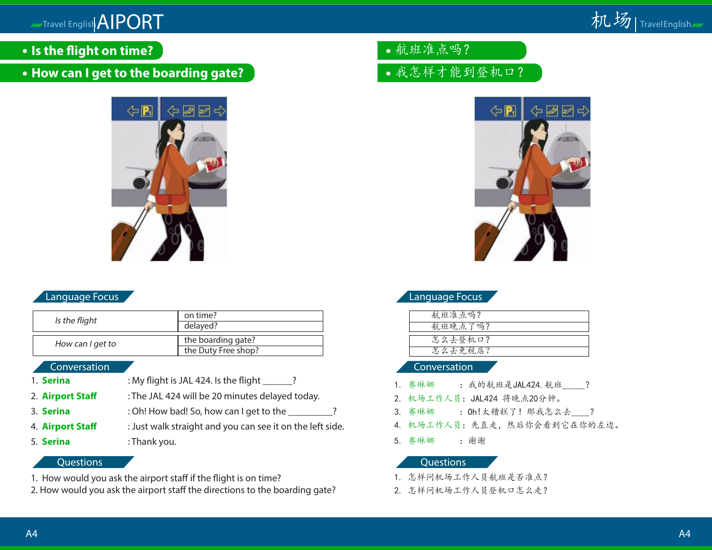mmTravel English AIPORT



- **Is the flight on time?**
- **How can I get to the boarding gate?**



# Language Focus

| Is the flight    | on time?<br>delayed?                      |
|------------------|-------------------------------------------|
| How can I get to | the boarding gate?<br>the Duty Free shop? |

#### Conversation

- 1. **Serina** : My flight is JAL 424. Is the flight  $\qquad$ ?
- 2. **Airport Staff** : The JAL 424 will be 20 minutes delayed today.
- 3. **Serina** : Oh! How bad! So, how can I get to the \_\_\_\_\_\_\_?
- 4. **Airport Staff** : Just walk straight and you can see it on the left side. 5. **Serina** : Thank you.

### **Questions**

- 1. How would you ask the airport staff if the flight is on time?
- 2. How would you ask the airport staff the directions to the boarding gate?
- 航班准点吗?
- 我怎样才能到登机口?



# Language Focus

| 航班准点吗?  |  |
|---------|--|
| 航班晚点了吗? |  |
|         |  |
| 怎么去登机口? |  |
| 怎么去免税店? |  |
|         |  |

#### Conversation

- 1. 赛琳娜 : 我的航班是JAL424. 航班 ?
- 2. 机场工作人员:JAL424 将晚点20分钟。
- 3. 赛琳娜 : 0h!太糟糕了! 那我怎么去 ?
- 4. 机场工作人员:先直走,然后你会看到它在你的左边。
- 5. 赛琳娜 :谢谢

- 1. 怎样问机场工作人员航班是否准点?
- 2. 怎样问机场工作人员登机口怎么走?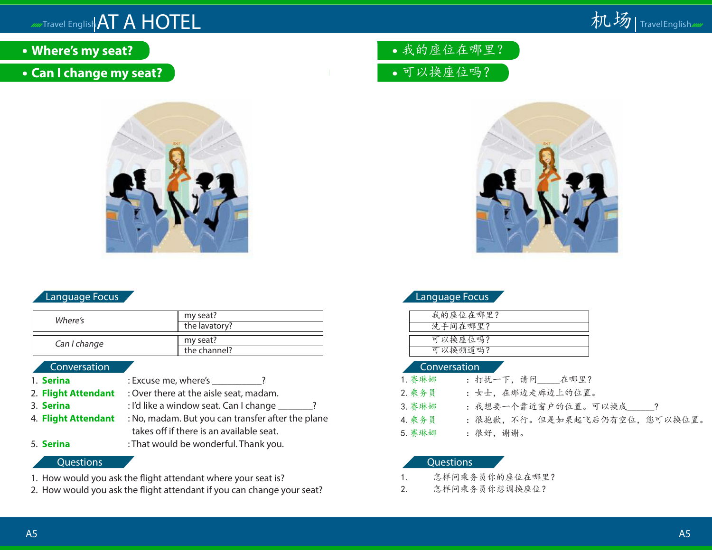# *MMTravel English* AT A HOTEL



- **Where's my seat?**
- **Can I change my seat?**



# Language Focus

| Where's      | my seat?<br>the lavatory? |
|--------------|---------------------------|
| Can I change | my seat?<br>the channel?  |

#### Conversation

- 
- 1. **Serina** : Excuse me, where's 2
- 2. **Flight Attendant** : Over there at the aisle seat, madam.
- 3. **Serina** : I'd like a window seat. Can I change <u>2. 2.</u>
- 4. **Flight Attendant** : No, madam. But you can transfer after the plane takes off if there is an available seat.
- 5. **Serina** : That would be wonderful. Thank you.

#### **Questions**

- 1. How would you ask the flight attendant where your seat is?
- 2. How would you ask the flight attendant if you can change your seat?
- 我的座位在哪里?
- 可以换座位吗?



| 我的座位在哪里? |  |
|----------|--|
| 洗手间在哪里?  |  |
|          |  |
| 可以换座位吗?  |  |
| 可以换频道吗?  |  |

#### Conversation

| 1. 赛琳娜 | : 打扰一下, 请问 在哪里?                |
|--------|--------------------------------|
| 2. 乘务员 | : 女士,在那边走廊边上的位置。               |
| 3. 赛琳娜 | : 我想要一个靠近窗户的位置。可以换成 ?          |
| 4. 乘务员 | : 很抱歉, 不行。但是如果起飞后仍有空位, 您可以换位置。 |
| 5. 赛琳娜 | : 很好, 谢谢。                      |

- 1. 怎样问乘务员你的座位在哪里?
- 2. 怎样问乘务员你想调换座位?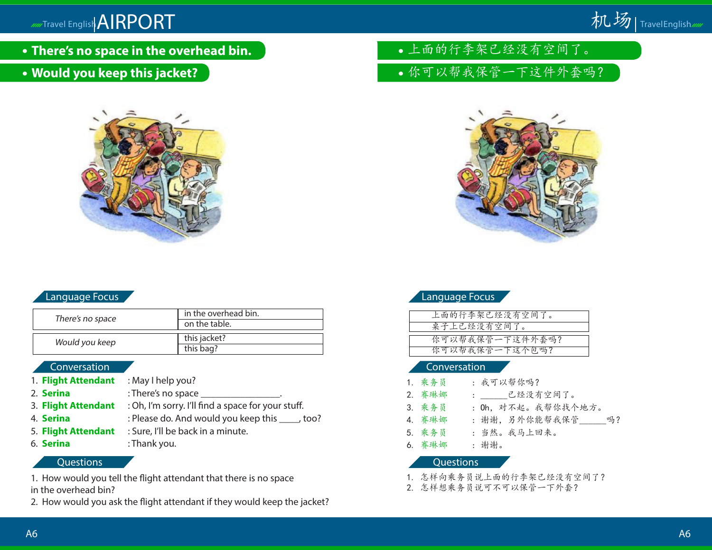

- **There's no space in the overhead bin.**
- **Would you keep this jacket?**



# Language Focus

| There's no space | in the overhead bin. |
|------------------|----------------------|
|                  | on the table.        |
|                  |                      |
| Would you keep   | this jacket?         |
|                  | this bag?            |

#### Conversation

- 1. **Flight Attendant** : May I help you?
- 2. **Serina** : There's no space
- 3. **Flight Attendant** : Oh, I'm sorry. I'll find a space for your stuff.
- 4. **Serina** : Please do. And would you keep this \_\_\_\_, too?
- 5. **Flight Attendant** : Sure, I'll be back in a minute.
- 
- 6. **Serina** : Thank you.

### **Questions**

1. How would you tell the flight attendant that there is no space

in the overhead bin?

2. How would you ask the flight attendant if they would keep the jacket?

- 上面的行李架已经没有空间了。
- 你可以帮我保管一下这件外套吗?



| Language Focus |  |  |
|----------------|--|--|
|                |  |  |

| 上面的行李架已经没有空间了。  |
|-----------------|
| 桌子上已经没有空间了。     |
|                 |
| 你可以帮我保管一下这件外套吗? |
| 你可以帮我保管一下这个包吗?  |
|                 |

#### Conversation

| 1. 乘务员           | : 我可以帮你吗?            |
|------------------|----------------------|
| 2. 赛琳娜           | : ______已经没有空间了。     |
| 3. 乘务员           | : 0h, 对不起。我帮你找个地方。   |
| 4. 赛琳娜           | : 谢谢, 另外你能帮我保管<br>吗? |
| 5. 乘务员           | : 当然。我马上回来。          |
| 6. 赛琳娜           | : 谢谢。                |
| <b>Questions</b> |                      |

- 1. 怎样向乘务员说上面的行李架已经没有空间了?
- 2. 怎样想乘务员说可不可以保管一下外套?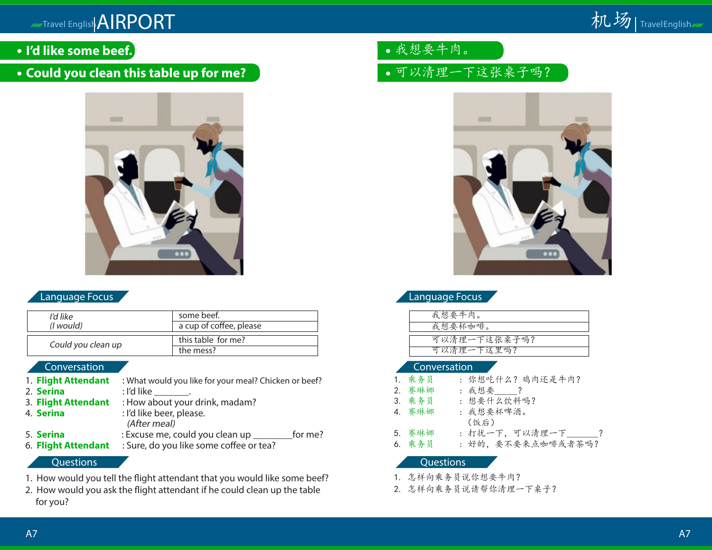

- **I'd like some beef.**
- **Could you clean this table up for me?**



# Language Focus

| ľd like            | some beef.              |
|--------------------|-------------------------|
| ( <i>l</i> would)  | a cup of coffee, please |
| Could you clean up | this table for me?      |
|                    | the mess?               |

# Conversation

- 1. **Flight Attendant** : What would you like for your meal? Chicken or beef?<br>2. **Serina** : I'd like .
- 
- 2. **Serina**<br>3. **Flight Attendant** : How about your drink, madam?
- 
- 4. **Serina** : I'd like beer, please. (After meal)
- 
- 5. **Serina** : Excuse me, could you clean up \_\_\_\_\_\_\_\_\_for me?<br>6. **Flight Attendant** : Sure, do you like some coffee or tea? 6. **Flight Attendant** : Sure, do you like some coffee or tea?

#### **Questions**

- 1. How would you tell the flight attendant that you would like some beef?
- 2. How would you ask the flight attendant if he could clean up the table for you?
- 我想要牛肉。
- 可以清理一下这张桌子吗?



# Language Focus

| 我想要牛肉。       |
|--------------|
| 我想要杯咖啡。      |
|              |
| 可以清理一下这张桌子吗? |
| 可以清理一下这里吗?   |
|              |

#### Conversation

| 1. 乘务员 | : 你想吃什么? 鸡肉还是牛肉?                               |
|--------|------------------------------------------------|
| 2. 赛琳娜 | : 我想要 ?                                        |
| 3. 乘务员 | : 想要什么饮料吗?                                     |
| 4. 赛琳娜 | : 我想要杯啤酒。                                      |
| (饭后)   |                                                |
| 5. 赛琳娜 | : 打扰一下,可以清理一下<br>$\overline{a}$ $\overline{a}$ |
| 6. 乘务员 | : 好的, 要不要来点咖啡或者茶吗?                             |

- 1. 怎样向乘务员说你想要牛肉?
- 2. 怎样向乘务员说请帮你清理一下桌子?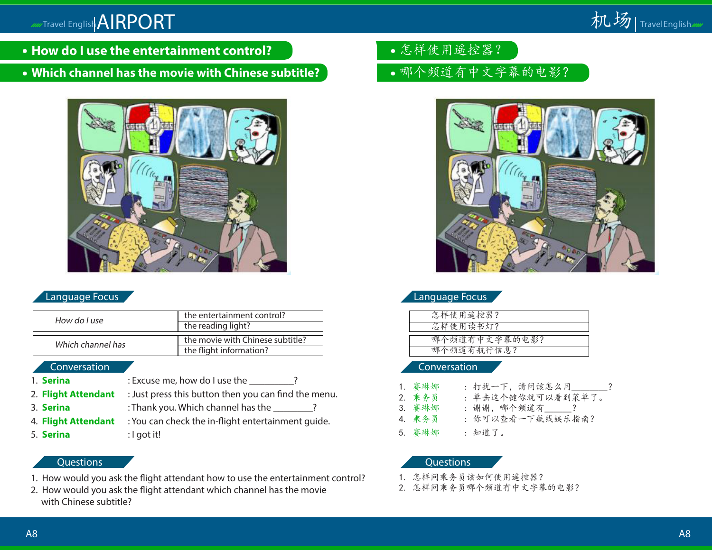

- **How do I use the entertainment control?**
- **Which channel has the movie with Chinese subtitle?**



# Language Focus

| How do I use      | the entertainment control?       |
|-------------------|----------------------------------|
|                   | the reading light?               |
| Which channel has | the movie with Chinese subtitle? |
|                   | the flight information?          |

#### Conversation

- 
- 1. **Serina** : Excuse me, how do I use the 2
- 2. **Flight Attendant** : Just press this button then you can find the menu.
- 3. **Serina** : Thank you. Which channel has the \_\_\_\_\_\_?
- 4. **Flight Attendant** : You can check the in-flight entertainment guide.
- 5. **Serina** : I got it!
- 

# **Questions**

- 1. How would you ask the flight attendant how to use the entertainment control?
- 2. How would you ask the flight attendant which channel has the movie with Chinese subtitle?
- 怎样使用遥控器?
- 哪个频道有中文字幕的电影?



| 怎样使用遥控器?      |
|---------------|
| 怎样使用读书灯?      |
|               |
| 哪个频道有中文字幕的电影? |
| 哪个频道有航行信息?    |
|               |

#### Conversation

- 1. 赛琳娜 : 打扰一下,请问该怎么用\_\_\_\_\_\_\_? 2. 乘务员 : 单击这个键你就可以看到菜单了。 3. 赛琳娜 : 谢谢, 哪个频道有 ? 4. 乘务员 : 你可以查看一下航线娱乐指南?
- 5. 赛琳娜 : 知道了。

- 1. 怎样问乘务员该如何使用遥控器?
- 2. 怎样问乘务员哪个频道有中文字幕的电影?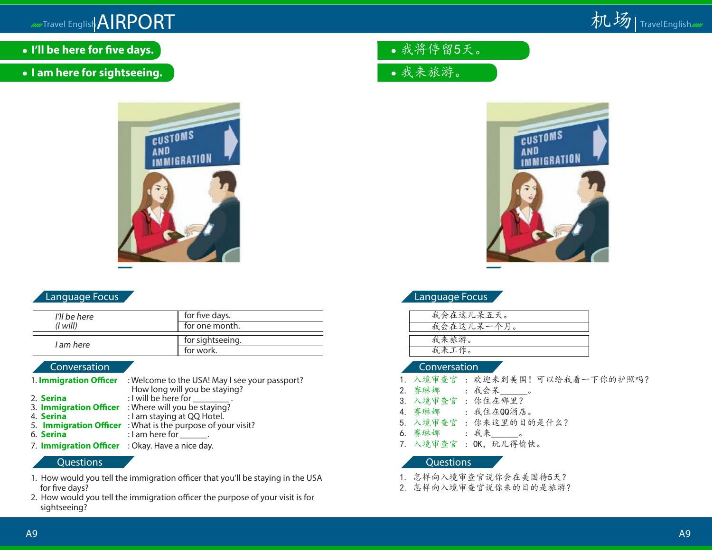# murTravel English AIRPORT



- **I'll be here for five days.**
- **I am here for sightseeing.**



# Language Focus

| I'll be here | for five days.   |
|--------------|------------------|
| (1 will)     | for one month.   |
| I am here    | for sightseeing. |
|              | for work.        |

#### Conversation

|           |  | 1. Immigration Officer : Welcome to the USA! May I see your passport? |
|-----------|--|-----------------------------------------------------------------------|
|           |  | How long will you be staying?                                         |
| 2. Serina |  | : I will be here for ________                                         |
|           |  | 3. <b>Immigration Officer</b> : Where will you be staying?            |
| 4. Serina |  | : I am staying at QQ Hotel.                                           |
|           |  | 5. Immigration Officer : What is the purpose of your visit?           |
| 6. Serina |  | : I am here for $\_\_\_\_\_\$ .                                       |
|           |  |                                                                       |

7. **Immigration Officer** : Okay. Have a nice day.

#### **Questions**

- 1. How would you tell the immigration officer that you'll be staying in the USA for five days?
- 2. How would you tell the immigration officer the purpose of your visit is for sightseeing?
- 我将停留5天。
- 我来旅游。



|  | <b>Language Focus</b> |
|--|-----------------------|
|  |                       |

| 我会在这儿呆五天。  |
|------------|
| 我会在这儿呆一个月。 |
|            |
| 我来旅游。      |
| 我来工作。      |

#### Conversation

- 1. 入境审查官 : 欢迎来到美国! 可以给我看一下你的护照吗?<br>2. 赛琳娜 : 我会呆
- 2. 赛琳娜 : 我会呆\_\_\_\_\_\_。
- 3. 入境审查官 : 你住在哪里?
- 4. 赛琳娜 : 我住在QQ酒店。
- 5. 入境审查官 : 你来这里的目的是什么?
- 6. 赛琳娜 : 我来\_\_\_\_\_\_。
- 7. 入境审查官: OK, 玩儿得愉快。

- 1. 怎样向入境审查官说你会在美国待5天?
- 2. 怎样向入境审查官说你来的目的是旅游?